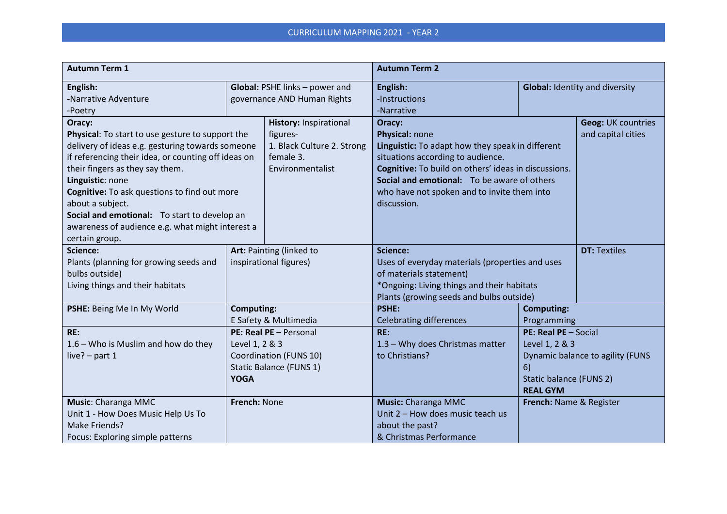| <b>Autumn Term 1</b>                                                                                                                                                                                                                                                                                                                                                                                                                                                |                                                                                                              |                                                             | <b>Autumn Term 2</b>                                                                                                                                                                                                                                                                   |                                                                                                                                |  |
|---------------------------------------------------------------------------------------------------------------------------------------------------------------------------------------------------------------------------------------------------------------------------------------------------------------------------------------------------------------------------------------------------------------------------------------------------------------------|--------------------------------------------------------------------------------------------------------------|-------------------------------------------------------------|----------------------------------------------------------------------------------------------------------------------------------------------------------------------------------------------------------------------------------------------------------------------------------------|--------------------------------------------------------------------------------------------------------------------------------|--|
| English:<br>-Narrative Adventure<br>-Poetry                                                                                                                                                                                                                                                                                                                                                                                                                         | Global: PSHE links - power and<br>governance AND Human Rights                                                |                                                             | English:<br>-Instructions<br>-Narrative                                                                                                                                                                                                                                                | <b>Global: Identity and diversity</b>                                                                                          |  |
| Oracy:<br>Physical: To start to use gesture to support the<br>figures-<br>delivery of ideas e.g. gesturing towards someone<br>if referencing their idea, or counting off ideas on<br>female 3.<br>their fingers as they say them.<br>Environmentalist<br>Linguistic: none<br>Cognitive: To ask questions to find out more<br>about a subject.<br>Social and emotional: To start to develop an<br>awareness of audience e.g. what might interest a<br>certain group. |                                                                                                              | <b>History: Inspirational</b><br>1. Black Culture 2. Strong | Oracy:<br>Physical: none<br>Linguistic: To adapt how they speak in different<br>situations according to audience.<br>Cognitive: To build on others' ideas in discussions.<br>Social and emotional: To be aware of others<br>who have not spoken and to invite them into<br>discussion. | <b>Geog: UK countries</b><br>and capital cities                                                                                |  |
| Science:<br>Plants (planning for growing seeds and<br>bulbs outside)<br>Living things and their habitats                                                                                                                                                                                                                                                                                                                                                            | Art: Painting (linked to<br>inspirational figures)                                                           |                                                             | <b>Science:</b><br>Uses of everyday materials (properties and uses<br>of materials statement)<br>*Ongoing: Living things and their habitats<br>Plants (growing seeds and bulbs outside)                                                                                                | <b>DT: Textiles</b>                                                                                                            |  |
| PSHE: Being Me In My World                                                                                                                                                                                                                                                                                                                                                                                                                                          | <b>Computing:</b><br>E Safety & Multimedia                                                                   |                                                             | <b>PSHE:</b><br><b>Celebrating differences</b>                                                                                                                                                                                                                                         | <b>Computing:</b><br>Programming                                                                                               |  |
| RE:<br>$1.6$ – Who is Muslim and how do they<br>live? $-$ part 1                                                                                                                                                                                                                                                                                                                                                                                                    | PE: Real PE - Personal<br>Level 1, 2 & 3<br>Coordination (FUNS 10)<br>Static Balance (FUNS 1)<br><b>YOGA</b> |                                                             | RE:<br>1.3 - Why does Christmas matter<br>to Christians?                                                                                                                                                                                                                               | PE: Real PE - Social<br>Level 1, 2 & 3<br>Dynamic balance to agility (FUNS<br>6)<br>Static balance (FUNS 2)<br><b>REAL GYM</b> |  |
| Music: Charanga MMC<br>Unit 1 - How Does Music Help Us To<br>Make Friends?<br>Focus: Exploring simple patterns                                                                                                                                                                                                                                                                                                                                                      | French: None                                                                                                 |                                                             | Music: Charanga MMC<br>Unit 2 - How does music teach us<br>about the past?<br>& Christmas Performance                                                                                                                                                                                  | French: Name & Register                                                                                                        |  |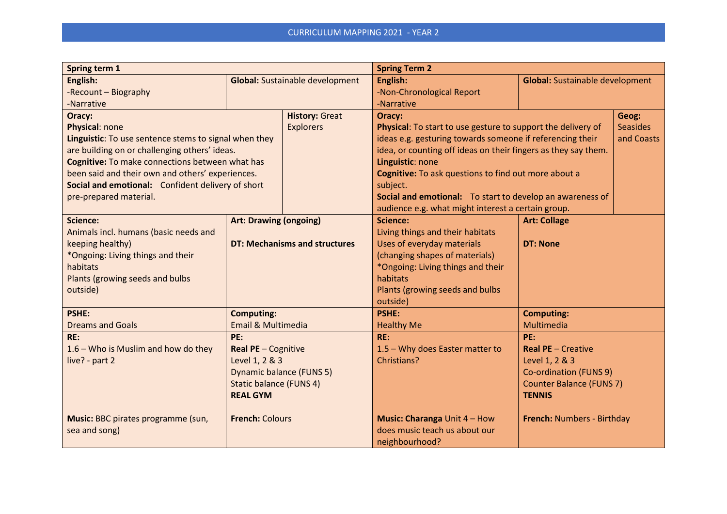| Spring term 1                                         |                                 |                                        | <b>Spring Term 2</b>                                           |                                                                                 |       |
|-------------------------------------------------------|---------------------------------|----------------------------------------|----------------------------------------------------------------|---------------------------------------------------------------------------------|-------|
| English:                                              |                                 | <b>Global:</b> Sustainable development | English:                                                       | <b>Global:</b> Sustainable development                                          |       |
| -Recount - Biography                                  |                                 |                                        | -Non-Chronological Report                                      |                                                                                 |       |
| -Narrative                                            |                                 |                                        | -Narrative                                                     |                                                                                 |       |
| Oracy:                                                |                                 | <b>History: Great</b>                  | Oracy:                                                         |                                                                                 | Geog: |
| Physical: none                                        |                                 | <b>Explorers</b>                       |                                                                | <b>Seasides</b><br>Physical: To start to use gesture to support the delivery of |       |
| Linguistic: To use sentence stems to signal when they |                                 |                                        |                                                                | ideas e.g. gesturing towards someone if referencing their<br>and Coasts         |       |
| are building on or challenging others' ideas.         |                                 |                                        | idea, or counting off ideas on their fingers as they say them. |                                                                                 |       |
| Cognitive: To make connections between what has       |                                 |                                        | Linguistic: none                                               |                                                                                 |       |
| been said and their own and others' experiences.      |                                 |                                        | Cognitive: To ask questions to find out more about a           |                                                                                 |       |
| Social and emotional: Confident delivery of short     |                                 |                                        | subject.                                                       |                                                                                 |       |
| pre-prepared material.                                |                                 |                                        | Social and emotional: To start to develop an awareness of      |                                                                                 |       |
|                                                       |                                 |                                        | audience e.g. what might interest a certain group.             |                                                                                 |       |
| <b>Science:</b>                                       | <b>Art: Drawing (ongoing)</b>   |                                        | <b>Science:</b>                                                | <b>Art: Collage</b>                                                             |       |
| Animals incl. humans (basic needs and                 |                                 |                                        | Living things and their habitats                               |                                                                                 |       |
| keeping healthy)                                      |                                 | <b>DT: Mechanisms and structures</b>   | Uses of everyday materials                                     | <b>DT: None</b>                                                                 |       |
| *Ongoing: Living things and their                     |                                 |                                        | (changing shapes of materials)                                 |                                                                                 |       |
| habitats                                              |                                 |                                        | *Ongoing: Living things and their                              |                                                                                 |       |
| Plants (growing seeds and bulbs                       |                                 |                                        | habitats                                                       |                                                                                 |       |
| outside)                                              |                                 |                                        | Plants (growing seeds and bulbs                                |                                                                                 |       |
|                                                       |                                 |                                        | outside)                                                       |                                                                                 |       |
| <b>PSHE:</b>                                          | <b>Computing:</b>               |                                        | <b>PSHE:</b>                                                   | <b>Computing:</b>                                                               |       |
| <b>Dreams and Goals</b>                               | <b>Email &amp; Multimedia</b>   |                                        | <b>Healthy Me</b>                                              | Multimedia                                                                      |       |
| RE:                                                   | PE:                             |                                        | RE:                                                            | PE:                                                                             |       |
| $1.6$ – Who is Muslim and how do they                 | Real PE - Cognitive             |                                        | 1.5 - Why does Easter matter to                                | <b>Real PE - Creative</b>                                                       |       |
| live? - part 2                                        | Level 1, 2 & 3                  |                                        | Christians?                                                    | Level 1, 2 & 3                                                                  |       |
|                                                       | <b>Dynamic balance (FUNS 5)</b> |                                        |                                                                | Co-ordination (FUNS 9)                                                          |       |
|                                                       | <b>Static balance (FUNS 4)</b>  |                                        |                                                                | <b>Counter Balance (FUNS 7)</b>                                                 |       |
|                                                       | <b>REAL GYM</b>                 |                                        |                                                                | <b>TENNIS</b>                                                                   |       |
|                                                       |                                 |                                        |                                                                |                                                                                 |       |
| Music: BBC pirates programme (sun,                    | <b>French: Colours</b>          |                                        | Music: Charanga Unit 4 - How                                   | French: Numbers - Birthday                                                      |       |
| sea and song)                                         |                                 |                                        | does music teach us about our                                  |                                                                                 |       |
|                                                       |                                 |                                        | neighbourhood?                                                 |                                                                                 |       |